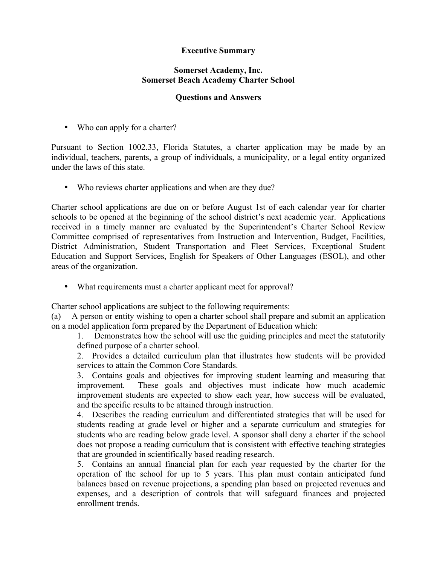## **Executive Summary**

## **Somerset Academy, Inc. Somerset Beach Academy Charter School**

## **Questions and Answers**

• Who can apply for a charter?

Pursuant to Section 1002.33, Florida Statutes, a charter application may be made by an individual, teachers, parents, a group of individuals, a municipality, or a legal entity organized under the laws of this state.

• Who reviews charter applications and when are they due?

Charter school applications are due on or before August 1st of each calendar year for charter schools to be opened at the beginning of the school district's next academic year. Applications received in a timely manner are evaluated by the Superintendent's Charter School Review Committee comprised of representatives from Instruction and Intervention, Budget, Facilities, District Administration, Student Transportation and Fleet Services, Exceptional Student Education and Support Services, English for Speakers of Other Languages (ESOL), and other areas of the organization.

• What requirements must a charter applicant meet for approval?

Charter school applications are subject to the following requirements:

(a) A person or entity wishing to open a charter school shall prepare and submit an application on a model application form prepared by the Department of Education which:

1. Demonstrates how the school will use the guiding principles and meet the statutorily defined purpose of a charter school.

2. Provides a detailed curriculum plan that illustrates how students will be provided services to attain the Common Core Standards.

3. Contains goals and objectives for improving student learning and measuring that improvement. These goals and objectives must indicate how much academic improvement students are expected to show each year, how success will be evaluated, and the specific results to be attained through instruction.

4. Describes the reading curriculum and differentiated strategies that will be used for students reading at grade level or higher and a separate curriculum and strategies for students who are reading below grade level. A sponsor shall deny a charter if the school does not propose a reading curriculum that is consistent with effective teaching strategies that are grounded in scientifically based reading research.

5. Contains an annual financial plan for each year requested by the charter for the operation of the school for up to 5 years. This plan must contain anticipated fund balances based on revenue projections, a spending plan based on projected revenues and expenses, and a description of controls that will safeguard finances and projected enrollment trends.